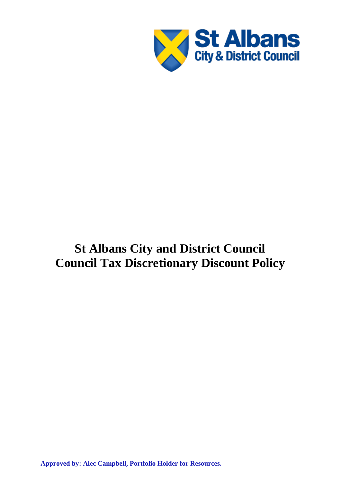

# **St Albans City and District Council Council Tax Discretionary Discount Policy**

**Approved by: Alec Campbell, Portfolio Holder for Resources.**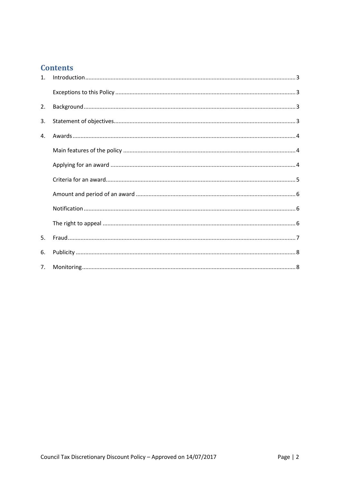## **Contents**

| $1_{\cdot}$ |  |
|-------------|--|
|             |  |
| 2.          |  |
| 3.          |  |
| 4.          |  |
|             |  |
|             |  |
|             |  |
|             |  |
|             |  |
|             |  |
| 5.          |  |
| 6.          |  |
| 7.          |  |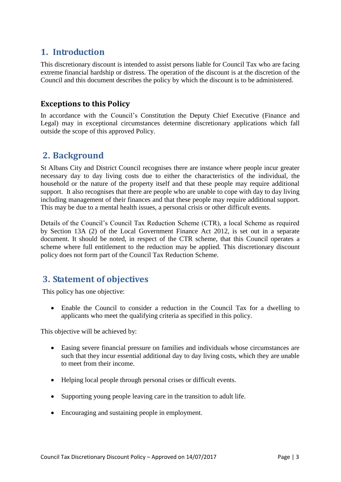# <span id="page-2-0"></span>**1. Introduction**

This discretionary discount is intended to assist persons liable for Council Tax who are facing extreme financial hardship or distress. The operation of the discount is at the discretion of the Council and this document describes the policy by which the discount is to be administered.

#### <span id="page-2-1"></span>**Exceptions to this Policy**

In accordance with the Council's Constitution the Deputy Chief Executive (Finance and Legal) may in exceptional circumstances determine discretionary applications which fall outside the scope of this approved Policy.

## <span id="page-2-2"></span>**2. Background**

St Albans City and District Council recognises there are instance where people incur greater necessary day to day living costs due to either the characteristics of the individual, the household or the nature of the property itself and that these people may require additional support. It also recognises that there are people who are unable to cope with day to day living including management of their finances and that these people may require additional support. This may be due to a mental health issues, a personal crisis or other difficult events.

Details of the Council's Council Tax Reduction Scheme (CTR), a local Scheme as required by Section 13A (2) of the Local Government Finance Act 2012, is set out in a separate document. It should be noted, in respect of the CTR scheme, that this Council operates a scheme where full entitlement to the reduction may be applied. This discretionary discount policy does not form part of the Council Tax Reduction Scheme.

# <span id="page-2-3"></span>**3. Statement of objectives**

This policy has one objective:

 Enable the Council to consider a reduction in the Council Tax for a dwelling to applicants who meet the qualifying criteria as specified in this policy.

This objective will be achieved by:

- Easing severe financial pressure on families and individuals whose circumstances are such that they incur essential additional day to day living costs, which they are unable to meet from their income.
- Helping local people through personal crises or difficult events.
- Supporting young people leaving care in the transition to adult life.
- Encouraging and sustaining people in employment.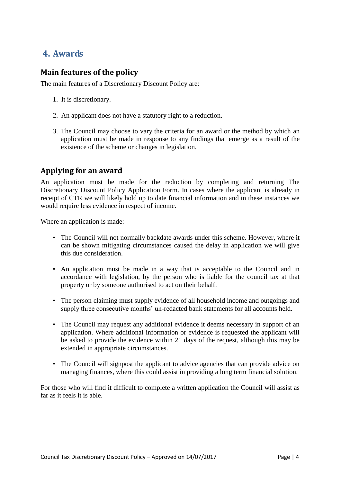## <span id="page-3-0"></span>**4. Awards**

#### <span id="page-3-1"></span>**Main features of the policy**

The main features of a Discretionary Discount Policy are:

- 1. It is discretionary.
- 2. An applicant does not have a statutory right to a reduction.
- 3. The Council may choose to vary the criteria for an award or the method by which an application must be made in response to any findings that emerge as a result of the existence of the scheme or changes in legislation.

#### <span id="page-3-2"></span>**Applying for an award**

An application must be made for the reduction by completing and returning The Discretionary Discount Policy Application Form. In cases where the applicant is already in receipt of CTR we will likely hold up to date financial information and in these instances we would require less evidence in respect of income.

Where an application is made:

- The Council will not normally backdate awards under this scheme. However, where it can be shown mitigating circumstances caused the delay in application we will give this due consideration.
- An application must be made in a way that is acceptable to the Council and in accordance with legislation, by the person who is liable for the council tax at that property or by someone authorised to act on their behalf.
- The person claiming must supply evidence of all household income and outgoings and supply three consecutive months' un-redacted bank statements for all accounts held.
- The Council may request any additional evidence it deems necessary in support of an application. Where additional information or evidence is requested the applicant will be asked to provide the evidence within 21 days of the request, although this may be extended in appropriate circumstances.
- The Council will signpost the applicant to advice agencies that can provide advice on managing finances, where this could assist in providing a long term financial solution.

For those who will find it difficult to complete a written application the Council will assist as far as it feels it is able.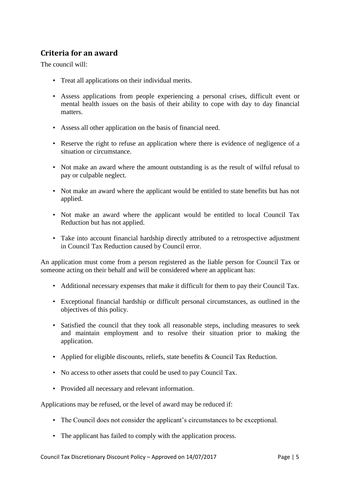#### <span id="page-4-0"></span>**Criteria for an award**

The council will:

- Treat all applications on their individual merits.
- Assess applications from people experiencing a personal crises, difficult event or mental health issues on the basis of their ability to cope with day to day financial matters.
- Assess all other application on the basis of financial need.
- Reserve the right to refuse an application where there is evidence of negligence of a situation or circumstance.
- Not make an award where the amount outstanding is as the result of wilful refusal to pay or culpable neglect.
- Not make an award where the applicant would be entitled to state benefits but has not applied.
- Not make an award where the applicant would be entitled to local Council Tax Reduction but has not applied.
- Take into account financial hardship directly attributed to a retrospective adjustment in Council Tax Reduction caused by Council error.

An application must come from a person registered as the liable person for Council Tax or someone acting on their behalf and will be considered where an applicant has:

- Additional necessary expenses that make it difficult for them to pay their Council Tax.
- Exceptional financial hardship or difficult personal circumstances, as outlined in the objectives of this policy.
- Satisfied the council that they took all reasonable steps, including measures to seek and maintain employment and to resolve their situation prior to making the application.
- Applied for eligible discounts, reliefs, state benefits & Council Tax Reduction.
- No access to other assets that could be used to pay Council Tax.
- Provided all necessary and relevant information.

Applications may be refused, or the level of award may be reduced if:

- The Council does not consider the applicant's circumstances to be exceptional.
- The applicant has failed to comply with the application process.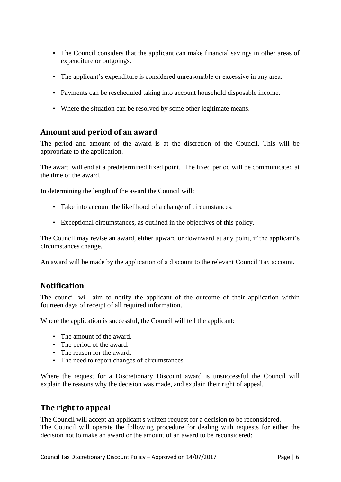- The Council considers that the applicant can make financial savings in other areas of expenditure or outgoings.
- The applicant's expenditure is considered unreasonable or excessive in any area.
- Payments can be rescheduled taking into account household disposable income.
- Where the situation can be resolved by some other legitimate means.

#### <span id="page-5-0"></span>**Amount and period of an award**

The period and amount of the award is at the discretion of the Council. This will be appropriate to the application.

The award will end at a predetermined fixed point. The fixed period will be communicated at the time of the award.

In determining the length of the award the Council will:

- Take into account the likelihood of a change of circumstances.
- Exceptional circumstances, as outlined in the objectives of this policy.

The Council may revise an award, either upward or downward at any point, if the applicant's circumstances change.

An award will be made by the application of a discount to the relevant Council Tax account.

#### <span id="page-5-1"></span>**Notification**

The council will aim to notify the applicant of the outcome of their application within fourteen days of receipt of all required information.

Where the application is successful, the Council will tell the applicant:

- The amount of the award.
- The period of the award.
- The reason for the award.
- The need to report changes of circumstances.

Where the request for a Discretionary Discount award is unsuccessful the Council will explain the reasons why the decision was made, and explain their right of appeal.

#### <span id="page-5-2"></span>**The right to appeal**

The Council will accept an applicant's written request for a decision to be reconsidered. The Council will operate the following procedure for dealing with requests for either the decision not to make an award or the amount of an award to be reconsidered: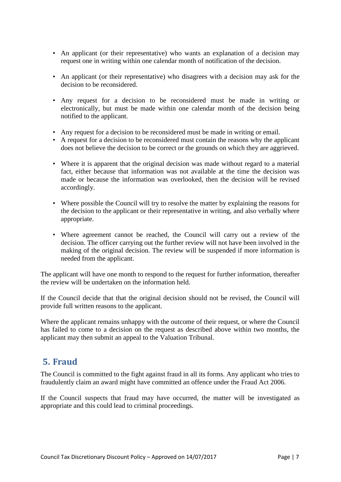- An applicant (or their representative) who wants an explanation of a decision may request one in writing within one calendar month of notification of the decision.
- An applicant (or their representative) who disagrees with a decision may ask for the decision to be reconsidered.
- Any request for a decision to be reconsidered must be made in writing or electronically, but must be made within one calendar month of the decision being notified to the applicant.
- Any request for a decision to be reconsidered must be made in writing or email.
- A request for a decision to be reconsidered must contain the reasons why the applicant does not believe the decision to be correct or the grounds on which they are aggrieved.
- Where it is apparent that the original decision was made without regard to a material fact, either because that information was not available at the time the decision was made or because the information was overlooked, then the decision will be revised accordingly.
- Where possible the Council will try to resolve the matter by explaining the reasons for the decision to the applicant or their representative in writing, and also verbally where appropriate.
- Where agreement cannot be reached, the Council will carry out a review of the decision. The officer carrying out the further review will not have been involved in the making of the original decision. The review will be suspended if more information is needed from the applicant.

The applicant will have one month to respond to the request for further information, thereafter the review will be undertaken on the information held.

If the Council decide that that the original decision should not be revised, the Council will provide full written reasons to the applicant.

Where the applicant remains unhappy with the outcome of their request, or where the Council has failed to come to a decision on the request as described above within two months, the applicant may then submit an appeal to the Valuation Tribunal.

# <span id="page-6-0"></span>**5. Fraud**

The Council is committed to the fight against fraud in all its forms. Any applicant who tries to fraudulently claim an award might have committed an offence under the Fraud Act 2006.

If the Council suspects that fraud may have occurred, the matter will be investigated as appropriate and this could lead to criminal proceedings.